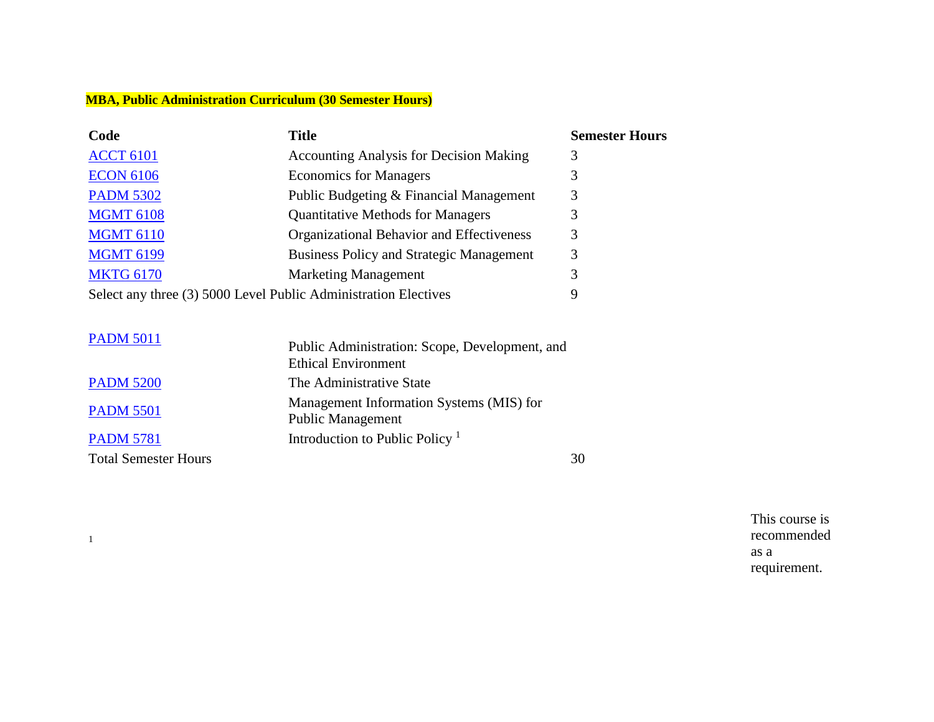#### **MBA, Public Administration Curriculum (30 Semester Hours)**

| Code                                                            | <b>Title</b>                                                                 | <b>Semester Hours</b> |
|-----------------------------------------------------------------|------------------------------------------------------------------------------|-----------------------|
| <b>ACCT 6101</b>                                                | <b>Accounting Analysis for Decision Making</b>                               | 3                     |
| <b>ECON 6106</b>                                                | <b>Economics for Managers</b>                                                | 3                     |
| <b>PADM 5302</b>                                                | Public Budgeting & Financial Management                                      | 3                     |
| <b>MGMT 6108</b>                                                | <b>Quantitative Methods for Managers</b>                                     | 3                     |
| <b>MGMT 6110</b>                                                | Organizational Behavior and Effectiveness                                    | 3                     |
| <b>MGMT 6199</b>                                                | <b>Business Policy and Strategic Management</b>                              | 3                     |
| <b>MKTG 6170</b>                                                | <b>Marketing Management</b>                                                  | 3                     |
| Select any three (3) 5000 Level Public Administration Electives |                                                                              | 9                     |
| <b>PADM 5011</b>                                                | Public Administration: Scope, Development, and<br><b>Ethical Environment</b> |                       |
| <b>PADM 5200</b>                                                | The Administrative State                                                     |                       |

[PADM](https://catalog.asurams.edu/search/?P=PADM%205501) 5501 Management Information Systems (MIS) for<br>
Rublic Management Public Management [PADM](https://catalog.asurams.edu/search/?P=PADM%205781) 5781 Introduction to Public Policy<sup>1</sup>

Total Semester Hours 30

1

This course is recommended as a requirement.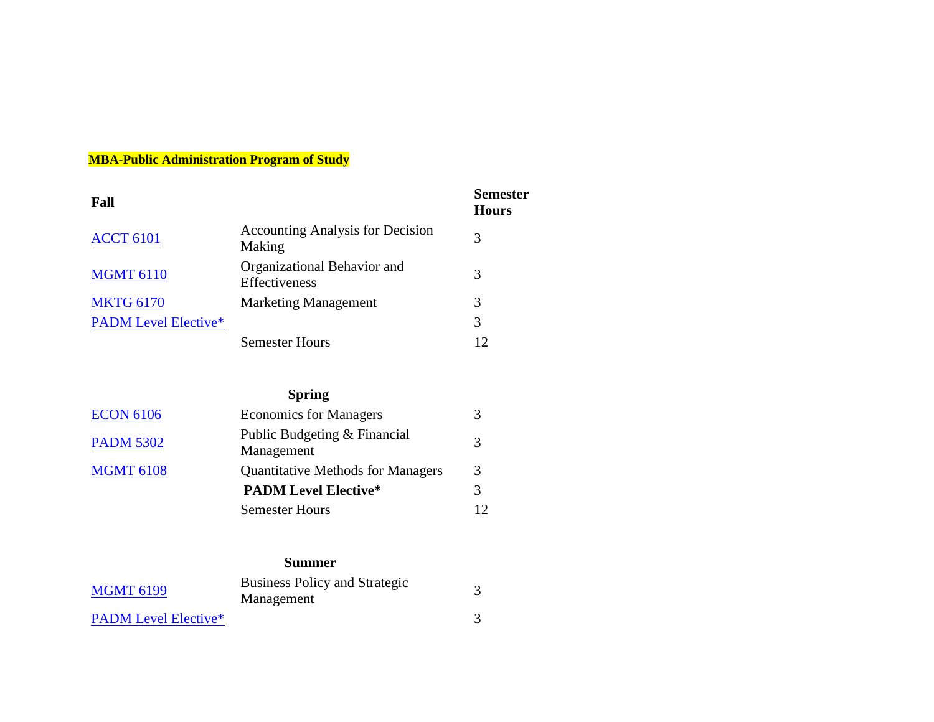## **MBA-Public Administration Program of Study**

| Fall                        |                                                   | <b>Semester</b><br><b>Hours</b> |
|-----------------------------|---------------------------------------------------|---------------------------------|
| <b>ACCT 6101</b>            | <b>Accounting Analysis for Decision</b><br>Making | 3                               |
| <b>MGMT 6110</b>            | Organizational Behavior and<br>Effectiveness      | 3                               |
| <b>MKTG 6170</b>            | <b>Marketing Management</b>                       | 3                               |
| <b>PADM Level Elective*</b> |                                                   | 3                               |
|                             | <b>Semester Hours</b>                             |                                 |

## **Spring**

| <b>ECON 6106</b> | <b>Economics for Managers</b>              |               |
|------------------|--------------------------------------------|---------------|
| <b>PADM 5302</b> | Public Budgeting & Financial<br>Management | $\mathcal{R}$ |
| <b>MGMT 6108</b> | <b>Quantitative Methods for Managers</b>   | 3             |
|                  | <b>PADM Level Elective*</b>                |               |
|                  | <b>Semester Hours</b>                      | 12            |

# **Summer**

| <b>MGMT 6199</b>            | <b>Business Policy and Strategic</b><br>Management |  |
|-----------------------------|----------------------------------------------------|--|
| <b>PADM</b> Level Elective* |                                                    |  |